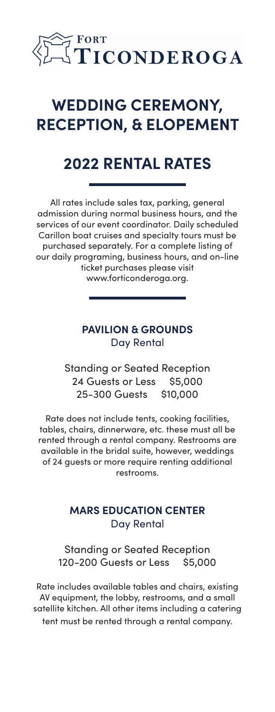

# **WEDDING CEREMONY, RECEPTION, & ELOPEMENT**

# **2022 RENTAL RATES**

All rates include sales tax, parking, general admission during normal business hours, and the services of our event coordinator. Daily scheduled Carillon boat cruises and specialty tours must be purchased separately. For a complete listing of our daily programing, business hours, and on-line ticket purchases please visit www.forticonderoga.org.

### **PAVILION & GROUNDS** Day Rental

Standing or Seated Reception 24 Guests or Less \$5,000 25-300 Guests \$10,000

Rate does not include tents, cooking facilities, tables, chairs, dinnerware, etc. these must all be rented through a rental company. Restrooms are available in the bridal suite, however, weddings of 24 guests or more require renting additional restrooms.

### **MARS EDUCATION CENTER** Day Rental

Standing or Seated Reception 120-200 Guests or Less \$5,000

Rate includes available tables and chairs, existing AV equipment, the lobby, restrooms, and a small satellite kitchen. All other items including a catering tent must be rented through a rental company.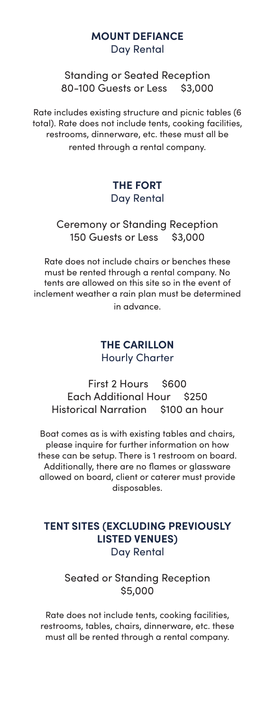#### **MOUNT DEFIANCE** Day Rental

Standing or Seated Reception 80-100 Guests or Less \$3,000

Rate includes existing structure and picnic tables (6 total). Rate does not include tents, cooking facilities, restrooms, dinnerware, etc. these must all be rented through a rental company.

### **THE FORT** Day Rental

#### Ceremony or Standing Reception 150 Guests or Less \$3,000

Rate does not include chairs or benches these must be rented through a rental company. No tents are allowed on this site so in the event of inclement weather a rain plan must be determined in advance.

#### **THE CARILLON** Hourly Charter

First 2 Hours \$600 Each Additional Hour \$250 Historical Narration \$100 an hour

Boat comes as is with existing tables and chairs, please inquire for further information on how these can be setup. There is 1 restroom on board. Additionally, there are no flames or glassware allowed on board, client or caterer must provide disposables.

### **TENT SITES (EXCLUDING PREVIOUSLY LISTED VENUES)** Day Rental

### Seated or Standing Reception \$5,000

Rate does not include tents, cooking facilities, restrooms, tables, chairs, dinnerware, etc. these must all be rented through a rental company.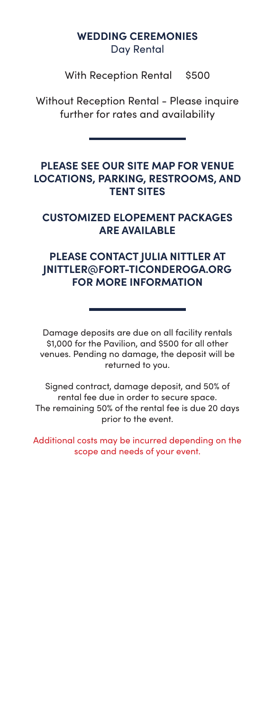#### **WEDDING CEREMONIES** Day Rental

With Reception Rental \$500

Without Reception Rental - Please inquire further for rates and availability

#### **PLEASE SEE OUR SITE MAP FOR VENUE LOCATIONS, PARKING, RESTROOMS, AND TENT SITES**

## **CUSTOMIZED ELOPEMENT PACKAGES ARE AVAILABLE**

### **PLEASE CONTACT JULIA NITTLER AT JNITTLER@FORT-TICONDEROGA.ORG FOR MORE INFORMATION**

Damage deposits are due on all facility rentals \$1,000 for the Pavilion, and \$500 for all other venues. Pending no damage, the deposit will be returned to you.

Signed contract, damage deposit, and 50% of rental fee due in order to secure space. The remaining 50% of the rental fee is due 20 days prior to the event.

Additional costs may be incurred depending on the scope and needs of your event.